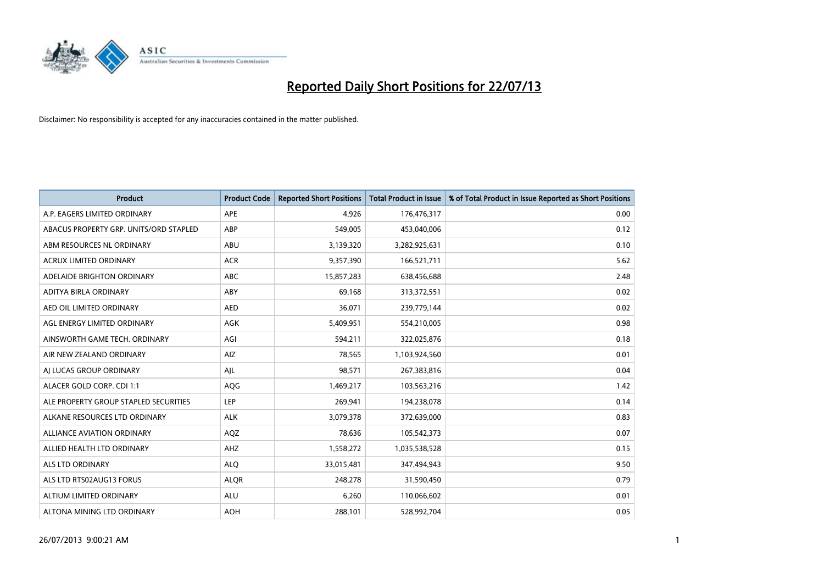

| <b>Product</b>                         | <b>Product Code</b> | <b>Reported Short Positions</b> | <b>Total Product in Issue</b> | % of Total Product in Issue Reported as Short Positions |
|----------------------------------------|---------------------|---------------------------------|-------------------------------|---------------------------------------------------------|
| A.P. EAGERS LIMITED ORDINARY           | APE                 | 4,926                           | 176,476,317                   | 0.00                                                    |
| ABACUS PROPERTY GRP. UNITS/ORD STAPLED | ABP                 | 549,005                         | 453,040,006                   | 0.12                                                    |
| ABM RESOURCES NL ORDINARY              | ABU                 | 3,139,320                       | 3,282,925,631                 | 0.10                                                    |
| ACRUX LIMITED ORDINARY                 | <b>ACR</b>          | 9,357,390                       | 166,521,711                   | 5.62                                                    |
| ADELAIDE BRIGHTON ORDINARY             | <b>ABC</b>          | 15,857,283                      | 638,456,688                   | 2.48                                                    |
| ADITYA BIRLA ORDINARY                  | ABY                 | 69,168                          | 313,372,551                   | 0.02                                                    |
| AED OIL LIMITED ORDINARY               | <b>AED</b>          | 36,071                          | 239,779,144                   | 0.02                                                    |
| AGL ENERGY LIMITED ORDINARY            | AGK                 | 5,409,951                       | 554,210,005                   | 0.98                                                    |
| AINSWORTH GAME TECH. ORDINARY          | AGI                 | 594,211                         | 322,025,876                   | 0.18                                                    |
| AIR NEW ZEALAND ORDINARY               | <b>AIZ</b>          | 78,565                          | 1,103,924,560                 | 0.01                                                    |
| AI LUCAS GROUP ORDINARY                | AJL                 | 98,571                          | 267,383,816                   | 0.04                                                    |
| ALACER GOLD CORP. CDI 1:1              | AQG                 | 1,469,217                       | 103,563,216                   | 1.42                                                    |
| ALE PROPERTY GROUP STAPLED SECURITIES  | <b>LEP</b>          | 269,941                         | 194,238,078                   | 0.14                                                    |
| ALKANE RESOURCES LTD ORDINARY          | <b>ALK</b>          | 3,079,378                       | 372,639,000                   | 0.83                                                    |
| <b>ALLIANCE AVIATION ORDINARY</b>      | AQZ                 | 78,636                          | 105,542,373                   | 0.07                                                    |
| ALLIED HEALTH LTD ORDINARY             | AHZ                 | 1,558,272                       | 1,035,538,528                 | 0.15                                                    |
| ALS LTD ORDINARY                       | <b>ALQ</b>          | 33,015,481                      | 347,494,943                   | 9.50                                                    |
| ALS LTD RTS02AUG13 FORUS               | <b>ALQR</b>         | 248,278                         | 31,590,450                    | 0.79                                                    |
| ALTIUM LIMITED ORDINARY                | <b>ALU</b>          | 6,260                           | 110,066,602                   | 0.01                                                    |
| ALTONA MINING LTD ORDINARY             | <b>AOH</b>          | 288,101                         | 528,992,704                   | 0.05                                                    |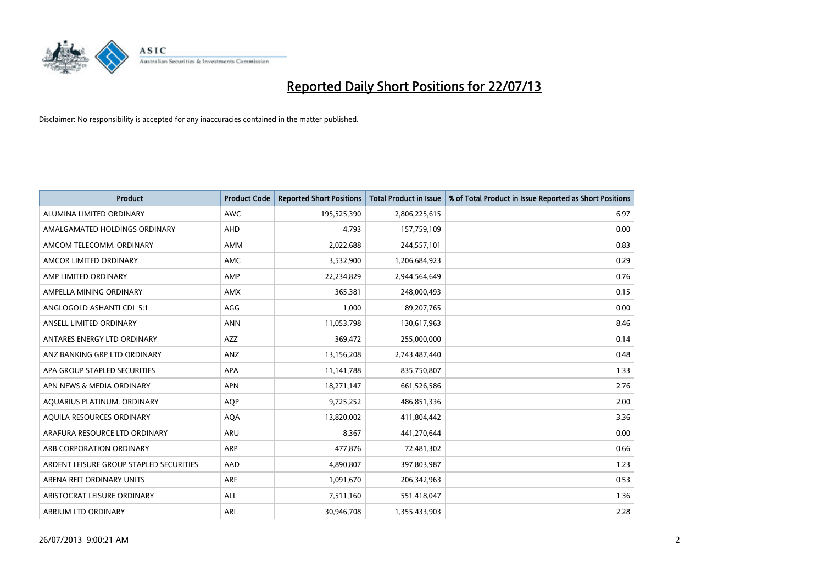

| <b>Product</b>                          | <b>Product Code</b> | <b>Reported Short Positions</b> | <b>Total Product in Issue</b> | % of Total Product in Issue Reported as Short Positions |
|-----------------------------------------|---------------------|---------------------------------|-------------------------------|---------------------------------------------------------|
| ALUMINA LIMITED ORDINARY                | <b>AWC</b>          | 195,525,390                     | 2,806,225,615                 | 6.97                                                    |
| AMALGAMATED HOLDINGS ORDINARY           | AHD                 | 4,793                           | 157,759,109                   | 0.00                                                    |
| AMCOM TELECOMM, ORDINARY                | AMM                 | 2,022,688                       | 244,557,101                   | 0.83                                                    |
| AMCOR LIMITED ORDINARY                  | AMC                 | 3,532,900                       | 1,206,684,923                 | 0.29                                                    |
| AMP LIMITED ORDINARY                    | AMP                 | 22,234,829                      | 2,944,564,649                 | 0.76                                                    |
| AMPELLA MINING ORDINARY                 | <b>AMX</b>          | 365,381                         | 248,000,493                   | 0.15                                                    |
| ANGLOGOLD ASHANTI CDI 5:1               | AGG                 | 1,000                           | 89,207,765                    | 0.00                                                    |
| ANSELL LIMITED ORDINARY                 | <b>ANN</b>          | 11,053,798                      | 130,617,963                   | 8.46                                                    |
| ANTARES ENERGY LTD ORDINARY             | <b>AZZ</b>          | 369,472                         | 255,000,000                   | 0.14                                                    |
| ANZ BANKING GRP LTD ORDINARY            | ANZ                 | 13,156,208                      | 2,743,487,440                 | 0.48                                                    |
| APA GROUP STAPLED SECURITIES            | APA                 | 11,141,788                      | 835,750,807                   | 1.33                                                    |
| APN NEWS & MEDIA ORDINARY               | <b>APN</b>          | 18,271,147                      | 661,526,586                   | 2.76                                                    |
| AQUARIUS PLATINUM. ORDINARY             | <b>AOP</b>          | 9,725,252                       | 486,851,336                   | 2.00                                                    |
| AQUILA RESOURCES ORDINARY               | <b>AQA</b>          | 13,820,002                      | 411,804,442                   | 3.36                                                    |
| ARAFURA RESOURCE LTD ORDINARY           | <b>ARU</b>          | 8,367                           | 441,270,644                   | 0.00                                                    |
| ARB CORPORATION ORDINARY                | ARP                 | 477,876                         | 72,481,302                    | 0.66                                                    |
| ARDENT LEISURE GROUP STAPLED SECURITIES | AAD                 | 4,890,807                       | 397,803,987                   | 1.23                                                    |
| ARENA REIT ORDINARY UNITS               | <b>ARF</b>          | 1,091,670                       | 206,342,963                   | 0.53                                                    |
| ARISTOCRAT LEISURE ORDINARY             | ALL                 | 7,511,160                       | 551,418,047                   | 1.36                                                    |
| ARRIUM LTD ORDINARY                     | ARI                 | 30,946,708                      | 1,355,433,903                 | 2.28                                                    |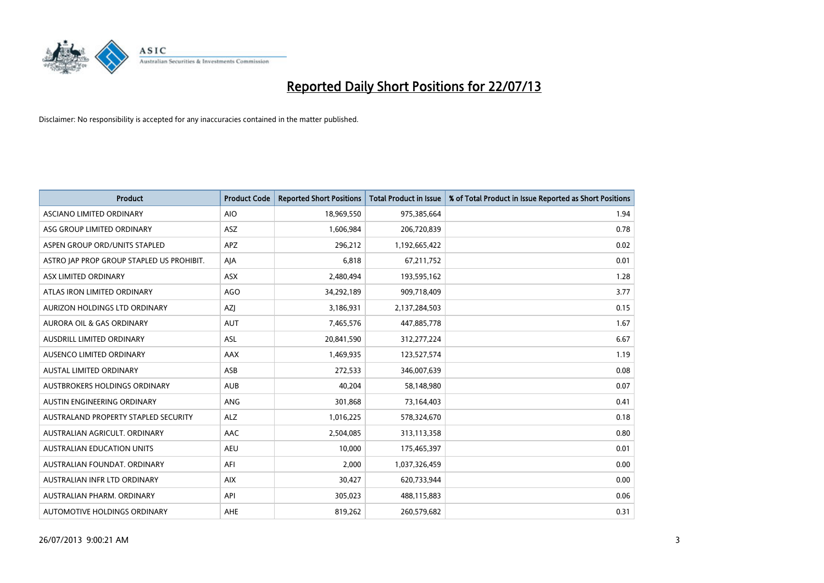

| <b>Product</b>                            | <b>Product Code</b> | <b>Reported Short Positions</b> | <b>Total Product in Issue</b> | % of Total Product in Issue Reported as Short Positions |
|-------------------------------------------|---------------------|---------------------------------|-------------------------------|---------------------------------------------------------|
| ASCIANO LIMITED ORDINARY                  | <b>AIO</b>          | 18,969,550                      | 975,385,664                   | 1.94                                                    |
| ASG GROUP LIMITED ORDINARY                | ASZ                 | 1,606,984                       | 206,720,839                   | 0.78                                                    |
| ASPEN GROUP ORD/UNITS STAPLED             | <b>APZ</b>          | 296,212                         | 1,192,665,422                 | 0.02                                                    |
| ASTRO JAP PROP GROUP STAPLED US PROHIBIT. | AJA                 | 6,818                           | 67,211,752                    | 0.01                                                    |
| ASX LIMITED ORDINARY                      | ASX                 | 2,480,494                       | 193,595,162                   | 1.28                                                    |
| ATLAS IRON LIMITED ORDINARY               | AGO                 | 34,292,189                      | 909,718,409                   | 3.77                                                    |
| AURIZON HOLDINGS LTD ORDINARY             | AZJ                 | 3,186,931                       | 2,137,284,503                 | 0.15                                                    |
| AURORA OIL & GAS ORDINARY                 | <b>AUT</b>          | 7,465,576                       | 447,885,778                   | 1.67                                                    |
| AUSDRILL LIMITED ORDINARY                 | <b>ASL</b>          | 20,841,590                      | 312,277,224                   | 6.67                                                    |
| AUSENCO LIMITED ORDINARY                  | AAX                 | 1,469,935                       | 123,527,574                   | 1.19                                                    |
| AUSTAL LIMITED ORDINARY                   | ASB                 | 272,533                         | 346,007,639                   | 0.08                                                    |
| AUSTBROKERS HOLDINGS ORDINARY             | <b>AUB</b>          | 40,204                          | 58,148,980                    | 0.07                                                    |
| AUSTIN ENGINEERING ORDINARY               | ANG                 | 301,868                         | 73,164,403                    | 0.41                                                    |
| AUSTRALAND PROPERTY STAPLED SECURITY      | <b>ALZ</b>          | 1,016,225                       | 578,324,670                   | 0.18                                                    |
| AUSTRALIAN AGRICULT, ORDINARY             | <b>AAC</b>          | 2,504,085                       | 313,113,358                   | 0.80                                                    |
| AUSTRALIAN EDUCATION UNITS                | <b>AEU</b>          | 10,000                          | 175,465,397                   | 0.01                                                    |
| AUSTRALIAN FOUNDAT. ORDINARY              | AFI                 | 2,000                           | 1,037,326,459                 | 0.00                                                    |
| AUSTRALIAN INFR LTD ORDINARY              | <b>AIX</b>          | 30,427                          | 620,733,944                   | 0.00                                                    |
| AUSTRALIAN PHARM, ORDINARY                | API                 | 305,023                         | 488,115,883                   | 0.06                                                    |
| AUTOMOTIVE HOLDINGS ORDINARY              | AHE                 | 819,262                         | 260,579,682                   | 0.31                                                    |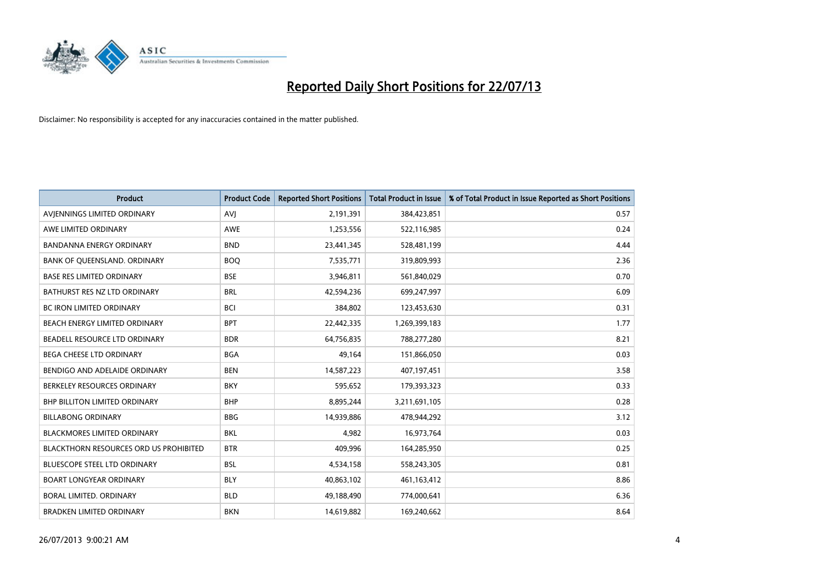

| <b>Product</b>                         | <b>Product Code</b> | <b>Reported Short Positions</b> | <b>Total Product in Issue</b> | % of Total Product in Issue Reported as Short Positions |
|----------------------------------------|---------------------|---------------------------------|-------------------------------|---------------------------------------------------------|
| AVIENNINGS LIMITED ORDINARY            | <b>AVJ</b>          | 2,191,391                       | 384,423,851                   | 0.57                                                    |
| AWE LIMITED ORDINARY                   | AWE                 | 1,253,556                       | 522,116,985                   | 0.24                                                    |
| <b>BANDANNA ENERGY ORDINARY</b>        | <b>BND</b>          | 23,441,345                      | 528,481,199                   | 4.44                                                    |
| BANK OF QUEENSLAND. ORDINARY           | <b>BOQ</b>          | 7,535,771                       | 319,809,993                   | 2.36                                                    |
| <b>BASE RES LIMITED ORDINARY</b>       | <b>BSE</b>          | 3,946,811                       | 561,840,029                   | 0.70                                                    |
| BATHURST RES NZ LTD ORDINARY           | <b>BRL</b>          | 42,594,236                      | 699,247,997                   | 6.09                                                    |
| <b>BC IRON LIMITED ORDINARY</b>        | <b>BCI</b>          | 384,802                         | 123,453,630                   | 0.31                                                    |
| BEACH ENERGY LIMITED ORDINARY          | <b>BPT</b>          | 22,442,335                      | 1,269,399,183                 | 1.77                                                    |
| BEADELL RESOURCE LTD ORDINARY          | <b>BDR</b>          | 64,756,835                      | 788,277,280                   | 8.21                                                    |
| <b>BEGA CHEESE LTD ORDINARY</b>        | <b>BGA</b>          | 49,164                          | 151,866,050                   | 0.03                                                    |
| BENDIGO AND ADELAIDE ORDINARY          | <b>BEN</b>          | 14,587,223                      | 407,197,451                   | 3.58                                                    |
| BERKELEY RESOURCES ORDINARY            | <b>BKY</b>          | 595,652                         | 179,393,323                   | 0.33                                                    |
| <b>BHP BILLITON LIMITED ORDINARY</b>   | <b>BHP</b>          | 8,895,244                       | 3,211,691,105                 | 0.28                                                    |
| <b>BILLABONG ORDINARY</b>              | <b>BBG</b>          | 14,939,886                      | 478,944,292                   | 3.12                                                    |
| <b>BLACKMORES LIMITED ORDINARY</b>     | <b>BKL</b>          | 4,982                           | 16,973,764                    | 0.03                                                    |
| BLACKTHORN RESOURCES ORD US PROHIBITED | <b>BTR</b>          | 409,996                         | 164,285,950                   | 0.25                                                    |
| BLUESCOPE STEEL LTD ORDINARY           | <b>BSL</b>          | 4,534,158                       | 558,243,305                   | 0.81                                                    |
| <b>BOART LONGYEAR ORDINARY</b>         | <b>BLY</b>          | 40,863,102                      | 461,163,412                   | 8.86                                                    |
| <b>BORAL LIMITED, ORDINARY</b>         | <b>BLD</b>          | 49,188,490                      | 774,000,641                   | 6.36                                                    |
| <b>BRADKEN LIMITED ORDINARY</b>        | <b>BKN</b>          | 14,619,882                      | 169,240,662                   | 8.64                                                    |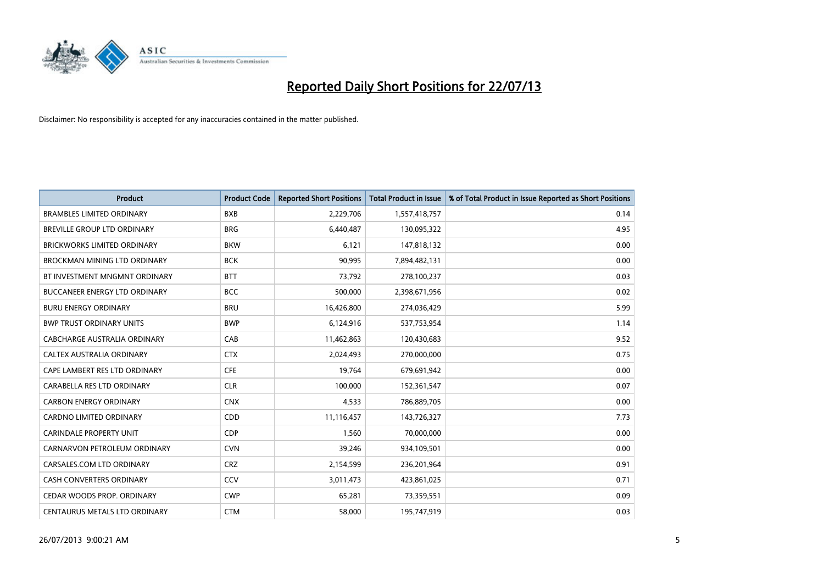

| <b>Product</b>                       | <b>Product Code</b> | <b>Reported Short Positions</b> | <b>Total Product in Issue</b> | % of Total Product in Issue Reported as Short Positions |
|--------------------------------------|---------------------|---------------------------------|-------------------------------|---------------------------------------------------------|
| <b>BRAMBLES LIMITED ORDINARY</b>     | <b>BXB</b>          | 2,229,706                       | 1,557,418,757                 | 0.14                                                    |
| BREVILLE GROUP LTD ORDINARY          | <b>BRG</b>          | 6,440,487                       | 130,095,322                   | 4.95                                                    |
| <b>BRICKWORKS LIMITED ORDINARY</b>   | <b>BKW</b>          | 6,121                           | 147,818,132                   | 0.00                                                    |
| <b>BROCKMAN MINING LTD ORDINARY</b>  | <b>BCK</b>          | 90,995                          | 7,894,482,131                 | 0.00                                                    |
| BT INVESTMENT MNGMNT ORDINARY        | <b>BTT</b>          | 73,792                          | 278,100,237                   | 0.03                                                    |
| <b>BUCCANEER ENERGY LTD ORDINARY</b> | <b>BCC</b>          | 500,000                         | 2,398,671,956                 | 0.02                                                    |
| <b>BURU ENERGY ORDINARY</b>          | <b>BRU</b>          | 16,426,800                      | 274,036,429                   | 5.99                                                    |
| <b>BWP TRUST ORDINARY UNITS</b>      | <b>BWP</b>          | 6,124,916                       | 537,753,954                   | 1.14                                                    |
| <b>CABCHARGE AUSTRALIA ORDINARY</b>  | CAB                 | 11,462,863                      | 120,430,683                   | 9.52                                                    |
| CALTEX AUSTRALIA ORDINARY            | <b>CTX</b>          | 2,024,493                       | 270,000,000                   | 0.75                                                    |
| CAPE LAMBERT RES LTD ORDINARY        | <b>CFE</b>          | 19,764                          | 679,691,942                   | 0.00                                                    |
| CARABELLA RES LTD ORDINARY           | <b>CLR</b>          | 100,000                         | 152,361,547                   | 0.07                                                    |
| <b>CARBON ENERGY ORDINARY</b>        | <b>CNX</b>          | 4,533                           | 786,889,705                   | 0.00                                                    |
| <b>CARDNO LIMITED ORDINARY</b>       | CDD                 | 11,116,457                      | 143,726,327                   | 7.73                                                    |
| <b>CARINDALE PROPERTY UNIT</b>       | <b>CDP</b>          | 1,560                           | 70,000,000                    | 0.00                                                    |
| CARNARVON PETROLEUM ORDINARY         | <b>CVN</b>          | 39,246                          | 934,109,501                   | 0.00                                                    |
| CARSALES.COM LTD ORDINARY            | <b>CRZ</b>          | 2,154,599                       | 236,201,964                   | 0.91                                                    |
| CASH CONVERTERS ORDINARY             | CCV                 | 3,011,473                       | 423,861,025                   | 0.71                                                    |
| CEDAR WOODS PROP. ORDINARY           | <b>CWP</b>          | 65,281                          | 73,359,551                    | 0.09                                                    |
| CENTAURUS METALS LTD ORDINARY        | <b>CTM</b>          | 58,000                          | 195,747,919                   | 0.03                                                    |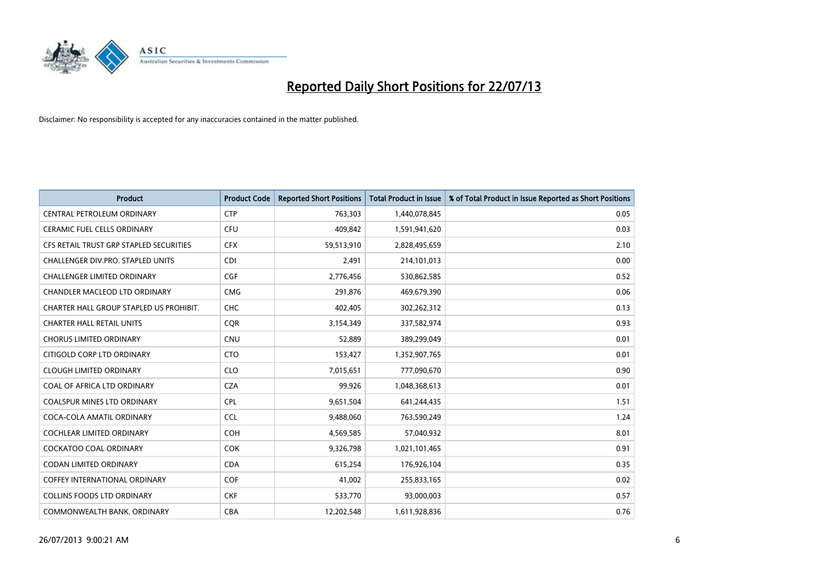

| <b>Product</b>                          | <b>Product Code</b> | <b>Reported Short Positions</b> | <b>Total Product in Issue</b> | % of Total Product in Issue Reported as Short Positions |
|-----------------------------------------|---------------------|---------------------------------|-------------------------------|---------------------------------------------------------|
| CENTRAL PETROLEUM ORDINARY              | <b>CTP</b>          | 763,303                         | 1,440,078,845                 | 0.05                                                    |
| CERAMIC FUEL CELLS ORDINARY             | <b>CFU</b>          | 409,842                         | 1,591,941,620                 | 0.03                                                    |
| CFS RETAIL TRUST GRP STAPLED SECURITIES | <b>CFX</b>          | 59,513,910                      | 2,828,495,659                 | 2.10                                                    |
| CHALLENGER DIV.PRO. STAPLED UNITS       | <b>CDI</b>          | 2,491                           | 214,101,013                   | 0.00                                                    |
| <b>CHALLENGER LIMITED ORDINARY</b>      | <b>CGF</b>          | 2,776,456                       | 530,862,585                   | 0.52                                                    |
| CHANDLER MACLEOD LTD ORDINARY           | <b>CMG</b>          | 291,876                         | 469,679,390                   | 0.06                                                    |
| CHARTER HALL GROUP STAPLED US PROHIBIT. | <b>CHC</b>          | 402,405                         | 302,262,312                   | 0.13                                                    |
| <b>CHARTER HALL RETAIL UNITS</b>        | <b>CQR</b>          | 3,154,349                       | 337,582,974                   | 0.93                                                    |
| <b>CHORUS LIMITED ORDINARY</b>          | <b>CNU</b>          | 52,889                          | 389,299,049                   | 0.01                                                    |
| CITIGOLD CORP LTD ORDINARY              | <b>CTO</b>          | 153,427                         | 1,352,907,765                 | 0.01                                                    |
| <b>CLOUGH LIMITED ORDINARY</b>          | <b>CLO</b>          | 7,015,651                       | 777,090,670                   | 0.90                                                    |
| COAL OF AFRICA LTD ORDINARY             | <b>CZA</b>          | 99,926                          | 1,048,368,613                 | 0.01                                                    |
| <b>COALSPUR MINES LTD ORDINARY</b>      | <b>CPL</b>          | 9,651,504                       | 641,244,435                   | 1.51                                                    |
| COCA-COLA AMATIL ORDINARY               | <b>CCL</b>          | 9,488,060                       | 763,590,249                   | 1.24                                                    |
| <b>COCHLEAR LIMITED ORDINARY</b>        | <b>COH</b>          | 4,569,585                       | 57,040,932                    | 8.01                                                    |
| <b>COCKATOO COAL ORDINARY</b>           | COK                 | 9,326,798                       | 1,021,101,465                 | 0.91                                                    |
| CODAN LIMITED ORDINARY                  | <b>CDA</b>          | 615,254                         | 176,926,104                   | 0.35                                                    |
| <b>COFFEY INTERNATIONAL ORDINARY</b>    | <b>COF</b>          | 41,002                          | 255,833,165                   | 0.02                                                    |
| COLLINS FOODS LTD ORDINARY              | <b>CKF</b>          | 533,770                         | 93,000,003                    | 0.57                                                    |
| COMMONWEALTH BANK, ORDINARY             | <b>CBA</b>          | 12,202,548                      | 1,611,928,836                 | 0.76                                                    |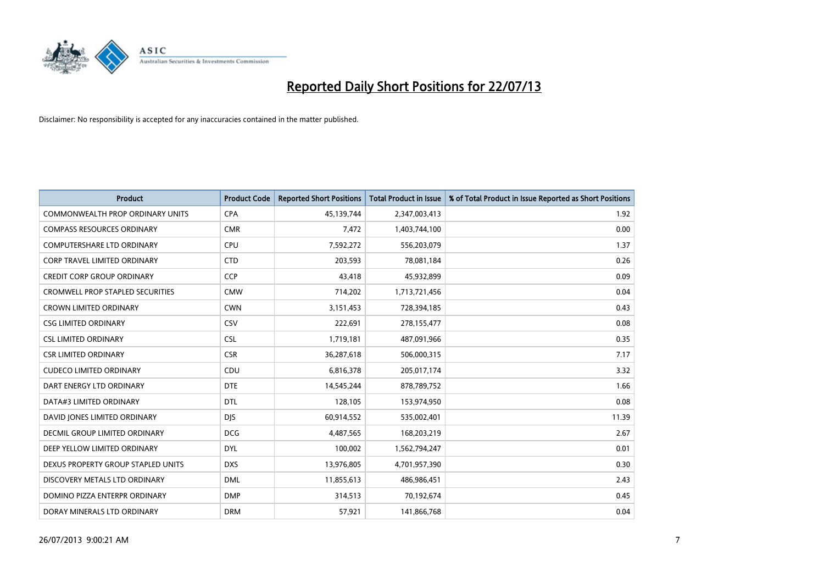

| <b>Product</b>                          | <b>Product Code</b> | <b>Reported Short Positions</b> | <b>Total Product in Issue</b> | % of Total Product in Issue Reported as Short Positions |
|-----------------------------------------|---------------------|---------------------------------|-------------------------------|---------------------------------------------------------|
| <b>COMMONWEALTH PROP ORDINARY UNITS</b> | <b>CPA</b>          | 45,139,744                      | 2,347,003,413                 | 1.92                                                    |
| <b>COMPASS RESOURCES ORDINARY</b>       | <b>CMR</b>          | 7,472                           | 1,403,744,100                 | 0.00                                                    |
| COMPUTERSHARE LTD ORDINARY              | <b>CPU</b>          | 7,592,272                       | 556,203,079                   | 1.37                                                    |
| <b>CORP TRAVEL LIMITED ORDINARY</b>     | <b>CTD</b>          | 203,593                         | 78,081,184                    | 0.26                                                    |
| <b>CREDIT CORP GROUP ORDINARY</b>       | <b>CCP</b>          | 43,418                          | 45,932,899                    | 0.09                                                    |
| <b>CROMWELL PROP STAPLED SECURITIES</b> | <b>CMW</b>          | 714,202                         | 1,713,721,456                 | 0.04                                                    |
| <b>CROWN LIMITED ORDINARY</b>           | <b>CWN</b>          | 3,151,453                       | 728,394,185                   | 0.43                                                    |
| <b>CSG LIMITED ORDINARY</b>             | <b>CSV</b>          | 222,691                         | 278,155,477                   | 0.08                                                    |
| <b>CSL LIMITED ORDINARY</b>             | <b>CSL</b>          | 1,719,181                       | 487,091,966                   | 0.35                                                    |
| <b>CSR LIMITED ORDINARY</b>             | <b>CSR</b>          | 36,287,618                      | 506,000,315                   | 7.17                                                    |
| <b>CUDECO LIMITED ORDINARY</b>          | CDU                 | 6,816,378                       | 205,017,174                   | 3.32                                                    |
| DART ENERGY LTD ORDINARY                | <b>DTE</b>          | 14,545,244                      | 878,789,752                   | 1.66                                                    |
| DATA#3 LIMITED ORDINARY                 | <b>DTL</b>          | 128,105                         | 153,974,950                   | 0.08                                                    |
| DAVID JONES LIMITED ORDINARY            | <b>DJS</b>          | 60,914,552                      | 535,002,401                   | 11.39                                                   |
| <b>DECMIL GROUP LIMITED ORDINARY</b>    | <b>DCG</b>          | 4,487,565                       | 168,203,219                   | 2.67                                                    |
| DEEP YELLOW LIMITED ORDINARY            | <b>DYL</b>          | 100,002                         | 1,562,794,247                 | 0.01                                                    |
| DEXUS PROPERTY GROUP STAPLED UNITS      | <b>DXS</b>          | 13,976,805                      | 4,701,957,390                 | 0.30                                                    |
| DISCOVERY METALS LTD ORDINARY           | <b>DML</b>          | 11,855,613                      | 486,986,451                   | 2.43                                                    |
| DOMINO PIZZA ENTERPR ORDINARY           | <b>DMP</b>          | 314,513                         | 70,192,674                    | 0.45                                                    |
| DORAY MINERALS LTD ORDINARY             | <b>DRM</b>          | 57,921                          | 141,866,768                   | 0.04                                                    |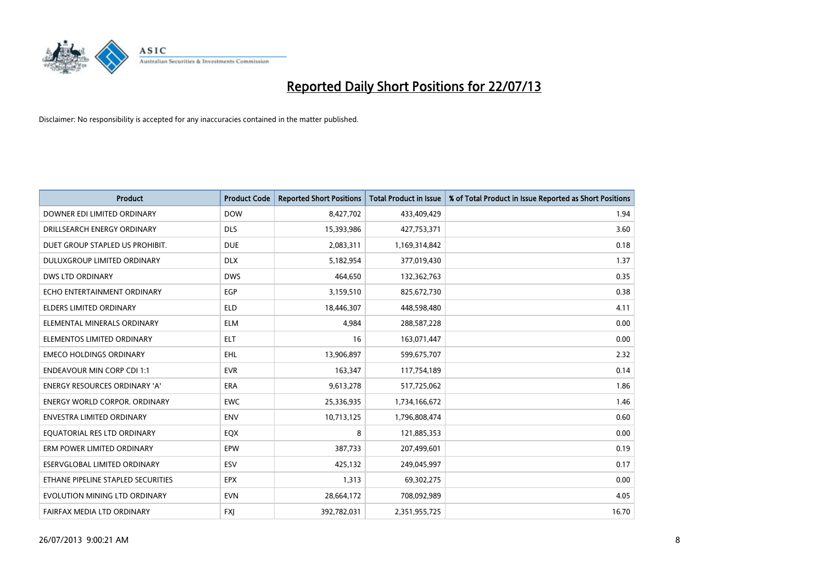

| <b>Product</b>                       | <b>Product Code</b> | <b>Reported Short Positions</b> | <b>Total Product in Issue</b> | % of Total Product in Issue Reported as Short Positions |
|--------------------------------------|---------------------|---------------------------------|-------------------------------|---------------------------------------------------------|
| DOWNER EDI LIMITED ORDINARY          | <b>DOW</b>          | 8,427,702                       | 433,409,429                   | 1.94                                                    |
| DRILLSEARCH ENERGY ORDINARY          | <b>DLS</b>          | 15,393,986                      | 427,753,371                   | 3.60                                                    |
| DUET GROUP STAPLED US PROHIBIT.      | <b>DUE</b>          | 2,083,311                       | 1,169,314,842                 | 0.18                                                    |
| DULUXGROUP LIMITED ORDINARY          | <b>DLX</b>          | 5,182,954                       | 377,019,430                   | 1.37                                                    |
| <b>DWS LTD ORDINARY</b>              | <b>DWS</b>          | 464,650                         | 132,362,763                   | 0.35                                                    |
| ECHO ENTERTAINMENT ORDINARY          | EGP                 | 3,159,510                       | 825,672,730                   | 0.38                                                    |
| <b>ELDERS LIMITED ORDINARY</b>       | <b>ELD</b>          | 18,446,307                      | 448,598,480                   | 4.11                                                    |
| ELEMENTAL MINERALS ORDINARY          | <b>ELM</b>          | 4,984                           | 288,587,228                   | 0.00                                                    |
| ELEMENTOS LIMITED ORDINARY           | <b>ELT</b>          | 16                              | 163,071,447                   | 0.00                                                    |
| <b>EMECO HOLDINGS ORDINARY</b>       | EHL                 | 13,906,897                      | 599,675,707                   | 2.32                                                    |
| <b>ENDEAVOUR MIN CORP CDI 1:1</b>    | <b>EVR</b>          | 163,347                         | 117,754,189                   | 0.14                                                    |
| <b>ENERGY RESOURCES ORDINARY 'A'</b> | ERA                 | 9,613,278                       | 517,725,062                   | 1.86                                                    |
| <b>ENERGY WORLD CORPOR. ORDINARY</b> | <b>EWC</b>          | 25,336,935                      | 1,734,166,672                 | 1.46                                                    |
| <b>ENVESTRA LIMITED ORDINARY</b>     | <b>ENV</b>          | 10,713,125                      | 1,796,808,474                 | 0.60                                                    |
| EQUATORIAL RES LTD ORDINARY          | EQX                 | 8                               | 121,885,353                   | 0.00                                                    |
| ERM POWER LIMITED ORDINARY           | EPW                 | 387,733                         | 207,499,601                   | 0.19                                                    |
| ESERVGLOBAL LIMITED ORDINARY         | ESV                 | 425,132                         | 249,045,997                   | 0.17                                                    |
| ETHANE PIPELINE STAPLED SECURITIES   | <b>EPX</b>          | 1,313                           | 69,302,275                    | 0.00                                                    |
| EVOLUTION MINING LTD ORDINARY        | <b>EVN</b>          | 28,664,172                      | 708,092,989                   | 4.05                                                    |
| FAIRFAX MEDIA LTD ORDINARY           | <b>FXI</b>          | 392,782,031                     | 2,351,955,725                 | 16.70                                                   |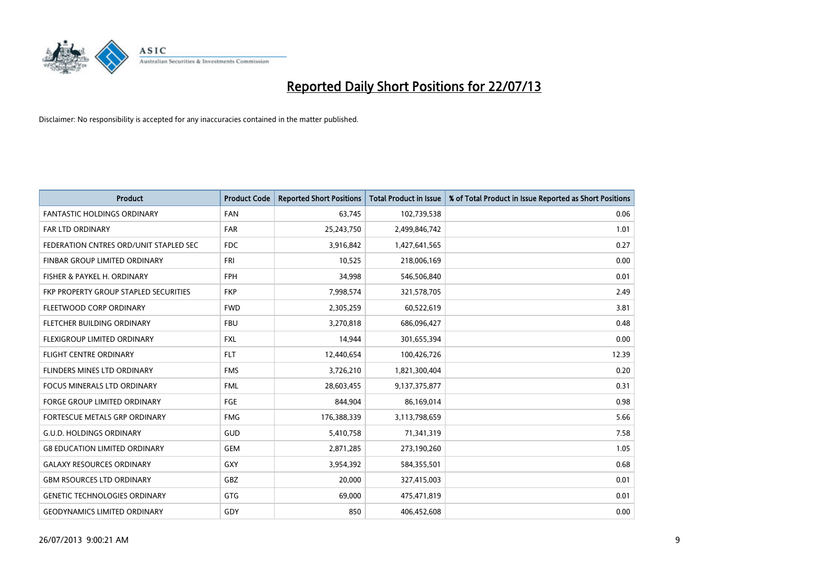

| <b>Product</b>                         | <b>Product Code</b> | <b>Reported Short Positions</b> | <b>Total Product in Issue</b> | % of Total Product in Issue Reported as Short Positions |
|----------------------------------------|---------------------|---------------------------------|-------------------------------|---------------------------------------------------------|
| <b>FANTASTIC HOLDINGS ORDINARY</b>     | <b>FAN</b>          | 63,745                          | 102,739,538                   | 0.06                                                    |
| <b>FAR LTD ORDINARY</b>                | <b>FAR</b>          | 25,243,750                      | 2,499,846,742                 | 1.01                                                    |
| FEDERATION CNTRES ORD/UNIT STAPLED SEC | <b>FDC</b>          | 3,916,842                       | 1,427,641,565                 | 0.27                                                    |
| FINBAR GROUP LIMITED ORDINARY          | <b>FRI</b>          | 10,525                          | 218,006,169                   | 0.00                                                    |
| FISHER & PAYKEL H. ORDINARY            | <b>FPH</b>          | 34,998                          | 546,506,840                   | 0.01                                                    |
| FKP PROPERTY GROUP STAPLED SECURITIES  | <b>FKP</b>          | 7,998,574                       | 321,578,705                   | 2.49                                                    |
| FLEETWOOD CORP ORDINARY                | <b>FWD</b>          | 2,305,259                       | 60,522,619                    | 3.81                                                    |
| FLETCHER BUILDING ORDINARY             | <b>FBU</b>          | 3,270,818                       | 686,096,427                   | 0.48                                                    |
| FLEXIGROUP LIMITED ORDINARY            | <b>FXL</b>          | 14,944                          | 301,655,394                   | 0.00                                                    |
| <b>FLIGHT CENTRE ORDINARY</b>          | <b>FLT</b>          | 12,440,654                      | 100,426,726                   | 12.39                                                   |
| FLINDERS MINES LTD ORDINARY            | <b>FMS</b>          | 3,726,210                       | 1,821,300,404                 | 0.20                                                    |
| FOCUS MINERALS LTD ORDINARY            | <b>FML</b>          | 28,603,455                      | 9,137,375,877                 | 0.31                                                    |
| <b>FORGE GROUP LIMITED ORDINARY</b>    | FGE                 | 844,904                         | 86,169,014                    | 0.98                                                    |
| FORTESCUE METALS GRP ORDINARY          | <b>FMG</b>          | 176,388,339                     | 3,113,798,659                 | 5.66                                                    |
| <b>G.U.D. HOLDINGS ORDINARY</b>        | GUD                 | 5,410,758                       | 71,341,319                    | 7.58                                                    |
| <b>G8 EDUCATION LIMITED ORDINARY</b>   | <b>GEM</b>          | 2,871,285                       | 273,190,260                   | 1.05                                                    |
| <b>GALAXY RESOURCES ORDINARY</b>       | GXY                 | 3,954,392                       | 584,355,501                   | 0.68                                                    |
| <b>GBM RSOURCES LTD ORDINARY</b>       | GBZ                 | 20,000                          | 327,415,003                   | 0.01                                                    |
| <b>GENETIC TECHNOLOGIES ORDINARY</b>   | GTG                 | 69,000                          | 475,471,819                   | 0.01                                                    |
| <b>GEODYNAMICS LIMITED ORDINARY</b>    | GDY                 | 850                             | 406,452,608                   | 0.00                                                    |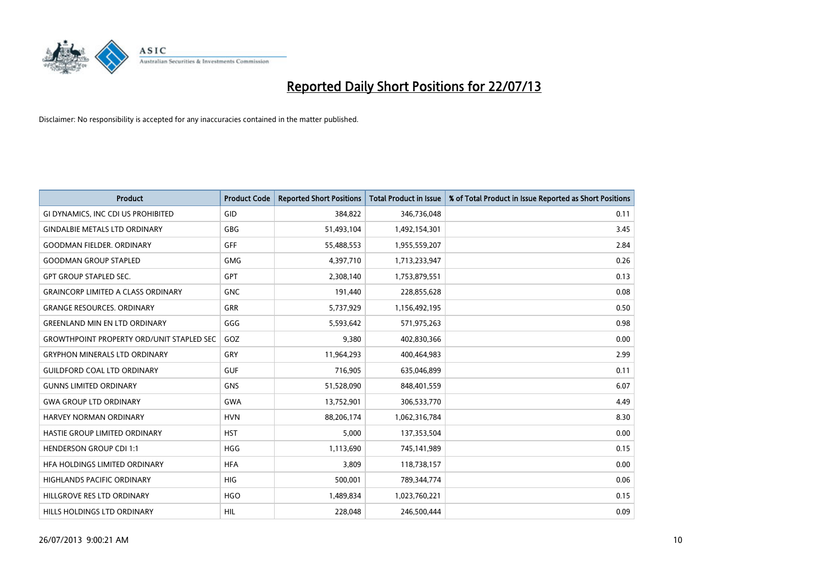

| <b>Product</b>                                   | <b>Product Code</b> | <b>Reported Short Positions</b> | <b>Total Product in Issue</b> | % of Total Product in Issue Reported as Short Positions |
|--------------------------------------------------|---------------------|---------------------------------|-------------------------------|---------------------------------------------------------|
| GI DYNAMICS, INC CDI US PROHIBITED               | GID                 | 384.822                         | 346,736,048                   | 0.11                                                    |
| <b>GINDALBIE METALS LTD ORDINARY</b>             | <b>GBG</b>          | 51,493,104                      | 1,492,154,301                 | 3.45                                                    |
| <b>GOODMAN FIELDER, ORDINARY</b>                 | GFF                 | 55,488,553                      | 1,955,559,207                 | 2.84                                                    |
| <b>GOODMAN GROUP STAPLED</b>                     | <b>GMG</b>          | 4,397,710                       | 1,713,233,947                 | 0.26                                                    |
| <b>GPT GROUP STAPLED SEC.</b>                    | GPT                 | 2,308,140                       | 1,753,879,551                 | 0.13                                                    |
| <b>GRAINCORP LIMITED A CLASS ORDINARY</b>        | <b>GNC</b>          | 191,440                         | 228,855,628                   | 0.08                                                    |
| <b>GRANGE RESOURCES, ORDINARY</b>                | GRR                 | 5,737,929                       | 1,156,492,195                 | 0.50                                                    |
| <b>GREENLAND MIN EN LTD ORDINARY</b>             | GGG                 | 5,593,642                       | 571,975,263                   | 0.98                                                    |
| <b>GROWTHPOINT PROPERTY ORD/UNIT STAPLED SEC</b> | GOZ                 | 9,380                           | 402,830,366                   | 0.00                                                    |
| <b>GRYPHON MINERALS LTD ORDINARY</b>             | GRY                 | 11,964,293                      | 400,464,983                   | 2.99                                                    |
| <b>GUILDFORD COAL LTD ORDINARY</b>               | <b>GUF</b>          | 716,905                         | 635,046,899                   | 0.11                                                    |
| <b>GUNNS LIMITED ORDINARY</b>                    | <b>GNS</b>          | 51,528,090                      | 848,401,559                   | 6.07                                                    |
| <b>GWA GROUP LTD ORDINARY</b>                    | <b>GWA</b>          | 13,752,901                      | 306,533,770                   | 4.49                                                    |
| HARVEY NORMAN ORDINARY                           | <b>HVN</b>          | 88,206,174                      | 1,062,316,784                 | 8.30                                                    |
| HASTIE GROUP LIMITED ORDINARY                    | <b>HST</b>          | 5,000                           | 137,353,504                   | 0.00                                                    |
| HENDERSON GROUP CDI 1:1                          | <b>HGG</b>          | 1,113,690                       | 745,141,989                   | 0.15                                                    |
| HFA HOLDINGS LIMITED ORDINARY                    | <b>HFA</b>          | 3,809                           | 118,738,157                   | 0.00                                                    |
| <b>HIGHLANDS PACIFIC ORDINARY</b>                | <b>HIG</b>          | 500,001                         | 789,344,774                   | 0.06                                                    |
| HILLGROVE RES LTD ORDINARY                       | <b>HGO</b>          | 1,489,834                       | 1,023,760,221                 | 0.15                                                    |
| HILLS HOLDINGS LTD ORDINARY                      | <b>HIL</b>          | 228,048                         | 246,500,444                   | 0.09                                                    |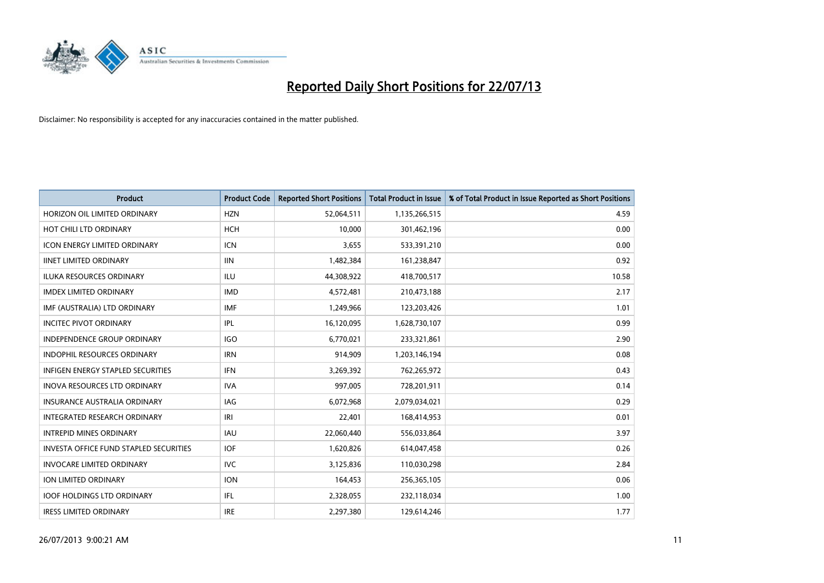

| <b>Product</b>                                | <b>Product Code</b> | <b>Reported Short Positions</b> | <b>Total Product in Issue</b> | % of Total Product in Issue Reported as Short Positions |
|-----------------------------------------------|---------------------|---------------------------------|-------------------------------|---------------------------------------------------------|
| HORIZON OIL LIMITED ORDINARY                  | <b>HZN</b>          | 52,064,511                      | 1,135,266,515                 | 4.59                                                    |
| HOT CHILI LTD ORDINARY                        | <b>HCH</b>          | 10,000                          | 301,462,196                   | 0.00                                                    |
| <b>ICON ENERGY LIMITED ORDINARY</b>           | <b>ICN</b>          | 3,655                           | 533,391,210                   | 0.00                                                    |
| <b>IINET LIMITED ORDINARY</b>                 | <b>IIN</b>          | 1,482,384                       | 161,238,847                   | 0.92                                                    |
| <b>ILUKA RESOURCES ORDINARY</b>               | ILU                 | 44,308,922                      | 418,700,517                   | 10.58                                                   |
| <b>IMDEX LIMITED ORDINARY</b>                 | <b>IMD</b>          | 4,572,481                       | 210,473,188                   | 2.17                                                    |
| IMF (AUSTRALIA) LTD ORDINARY                  | <b>IMF</b>          | 1,249,966                       | 123,203,426                   | 1.01                                                    |
| <b>INCITEC PIVOT ORDINARY</b>                 | IPL                 | 16,120,095                      | 1,628,730,107                 | 0.99                                                    |
| INDEPENDENCE GROUP ORDINARY                   | <b>IGO</b>          | 6,770,021                       | 233,321,861                   | 2.90                                                    |
| <b>INDOPHIL RESOURCES ORDINARY</b>            | <b>IRN</b>          | 914,909                         | 1,203,146,194                 | 0.08                                                    |
| <b>INFIGEN ENERGY STAPLED SECURITIES</b>      | IFN                 | 3,269,392                       | 762,265,972                   | 0.43                                                    |
| <b>INOVA RESOURCES LTD ORDINARY</b>           | <b>IVA</b>          | 997,005                         | 728,201,911                   | 0.14                                                    |
| <b>INSURANCE AUSTRALIA ORDINARY</b>           | <b>IAG</b>          | 6,072,968                       | 2,079,034,021                 | 0.29                                                    |
| <b>INTEGRATED RESEARCH ORDINARY</b>           | IRI                 | 22,401                          | 168,414,953                   | 0.01                                                    |
| <b>INTREPID MINES ORDINARY</b>                | <b>IAU</b>          | 22,060,440                      | 556,033,864                   | 3.97                                                    |
| <b>INVESTA OFFICE FUND STAPLED SECURITIES</b> | <b>IOF</b>          | 1,620,826                       | 614,047,458                   | 0.26                                                    |
| <b>INVOCARE LIMITED ORDINARY</b>              | <b>IVC</b>          | 3,125,836                       | 110,030,298                   | 2.84                                                    |
| ION LIMITED ORDINARY                          | <b>ION</b>          | 164,453                         | 256,365,105                   | 0.06                                                    |
| <b>IOOF HOLDINGS LTD ORDINARY</b>             | IFL                 | 2,328,055                       | 232,118,034                   | 1.00                                                    |
| <b>IRESS LIMITED ORDINARY</b>                 | <b>IRE</b>          | 2,297,380                       | 129,614,246                   | 1.77                                                    |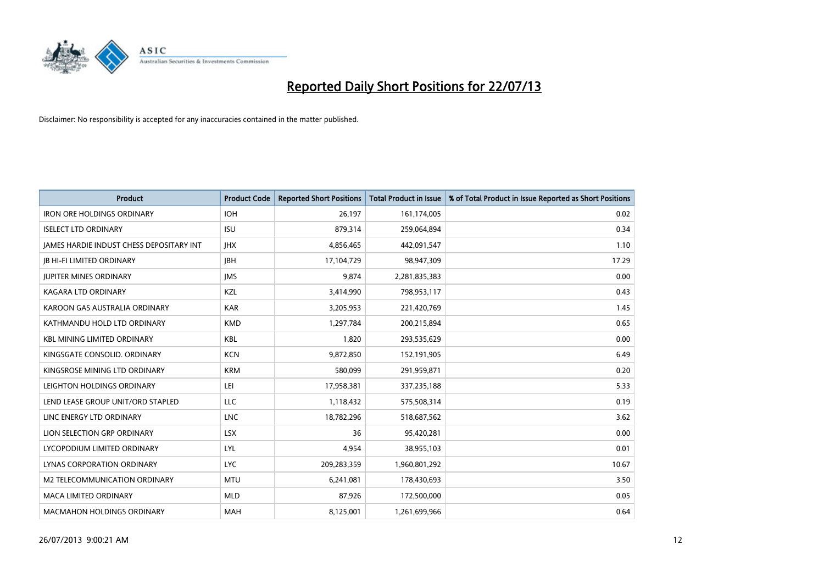

| <b>Product</b>                           | <b>Product Code</b> | <b>Reported Short Positions</b> | <b>Total Product in Issue</b> | % of Total Product in Issue Reported as Short Positions |
|------------------------------------------|---------------------|---------------------------------|-------------------------------|---------------------------------------------------------|
| <b>IRON ORE HOLDINGS ORDINARY</b>        | <b>IOH</b>          | 26,197                          | 161,174,005                   | 0.02                                                    |
| <b>ISELECT LTD ORDINARY</b>              | <b>ISU</b>          | 879,314                         | 259,064,894                   | 0.34                                                    |
| JAMES HARDIE INDUST CHESS DEPOSITARY INT | <b>IHX</b>          | 4,856,465                       | 442,091,547                   | 1.10                                                    |
| <b>JB HI-FI LIMITED ORDINARY</b>         | <b>JBH</b>          | 17,104,729                      | 98,947,309                    | 17.29                                                   |
| <b>JUPITER MINES ORDINARY</b>            | <b>IMS</b>          | 9,874                           | 2,281,835,383                 | 0.00                                                    |
| <b>KAGARA LTD ORDINARY</b>               | KZL                 | 3,414,990                       | 798,953,117                   | 0.43                                                    |
| KAROON GAS AUSTRALIA ORDINARY            | <b>KAR</b>          | 3,205,953                       | 221,420,769                   | 1.45                                                    |
| KATHMANDU HOLD LTD ORDINARY              | <b>KMD</b>          | 1,297,784                       | 200,215,894                   | 0.65                                                    |
| <b>KBL MINING LIMITED ORDINARY</b>       | <b>KBL</b>          | 1,820                           | 293,535,629                   | 0.00                                                    |
| KINGSGATE CONSOLID. ORDINARY             | <b>KCN</b>          | 9,872,850                       | 152,191,905                   | 6.49                                                    |
| KINGSROSE MINING LTD ORDINARY            | <b>KRM</b>          | 580,099                         | 291,959,871                   | 0.20                                                    |
| LEIGHTON HOLDINGS ORDINARY               | LEI                 | 17,958,381                      | 337,235,188                   | 5.33                                                    |
| LEND LEASE GROUP UNIT/ORD STAPLED        | <b>LLC</b>          | 1,118,432                       | 575,508,314                   | 0.19                                                    |
| LINC ENERGY LTD ORDINARY                 | <b>LNC</b>          | 18,782,296                      | 518,687,562                   | 3.62                                                    |
| LION SELECTION GRP ORDINARY              | <b>LSX</b>          | 36                              | 95,420,281                    | 0.00                                                    |
| LYCOPODIUM LIMITED ORDINARY              | LYL                 | 4,954                           | 38,955,103                    | 0.01                                                    |
| LYNAS CORPORATION ORDINARY               | <b>LYC</b>          | 209,283,359                     | 1,960,801,292                 | 10.67                                                   |
| M2 TELECOMMUNICATION ORDINARY            | <b>MTU</b>          | 6,241,081                       | 178,430,693                   | 3.50                                                    |
| <b>MACA LIMITED ORDINARY</b>             | <b>MLD</b>          | 87,926                          | 172,500,000                   | 0.05                                                    |
| <b>MACMAHON HOLDINGS ORDINARY</b>        | <b>MAH</b>          | 8,125,001                       | 1,261,699,966                 | 0.64                                                    |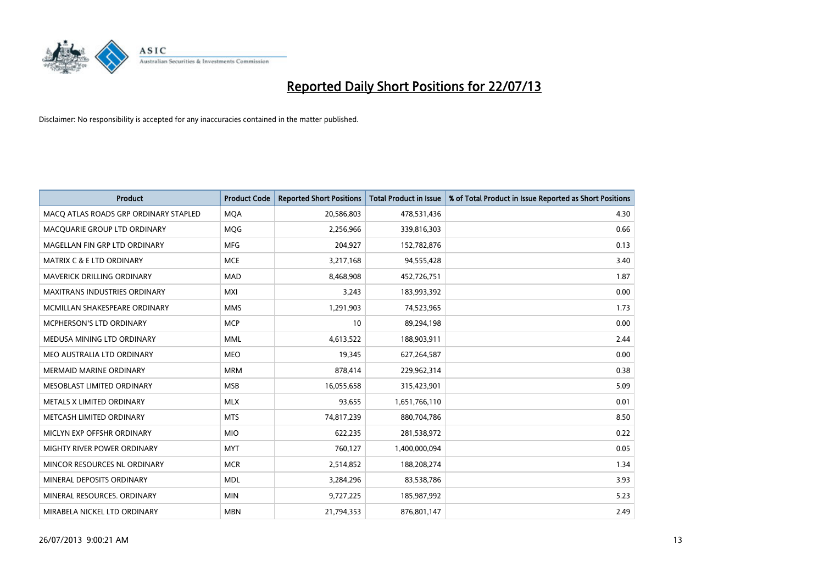

| <b>Product</b>                        | <b>Product Code</b> | <b>Reported Short Positions</b> | <b>Total Product in Issue</b> | % of Total Product in Issue Reported as Short Positions |
|---------------------------------------|---------------------|---------------------------------|-------------------------------|---------------------------------------------------------|
| MACO ATLAS ROADS GRP ORDINARY STAPLED | <b>MQA</b>          | 20,586,803                      | 478,531,436                   | 4.30                                                    |
| MACQUARIE GROUP LTD ORDINARY          | MQG                 | 2,256,966                       | 339,816,303                   | 0.66                                                    |
| MAGELLAN FIN GRP LTD ORDINARY         | <b>MFG</b>          | 204,927                         | 152,782,876                   | 0.13                                                    |
| <b>MATRIX C &amp; E LTD ORDINARY</b>  | <b>MCE</b>          | 3,217,168                       | 94,555,428                    | 3.40                                                    |
| MAVERICK DRILLING ORDINARY            | <b>MAD</b>          | 8,468,908                       | 452,726,751                   | 1.87                                                    |
| <b>MAXITRANS INDUSTRIES ORDINARY</b>  | <b>MXI</b>          | 3,243                           | 183,993,392                   | 0.00                                                    |
| MCMILLAN SHAKESPEARE ORDINARY         | <b>MMS</b>          | 1,291,903                       | 74,523,965                    | 1.73                                                    |
| <b>MCPHERSON'S LTD ORDINARY</b>       | <b>MCP</b>          | 10                              | 89,294,198                    | 0.00                                                    |
| MEDUSA MINING LTD ORDINARY            | <b>MML</b>          | 4,613,522                       | 188,903,911                   | 2.44                                                    |
| MEO AUSTRALIA LTD ORDINARY            | <b>MEO</b>          | 19,345                          | 627,264,587                   | 0.00                                                    |
| MERMAID MARINE ORDINARY               | <b>MRM</b>          | 878,414                         | 229,962,314                   | 0.38                                                    |
| MESOBLAST LIMITED ORDINARY            | <b>MSB</b>          | 16,055,658                      | 315,423,901                   | 5.09                                                    |
| METALS X LIMITED ORDINARY             | <b>MLX</b>          | 93,655                          | 1,651,766,110                 | 0.01                                                    |
| METCASH LIMITED ORDINARY              | <b>MTS</b>          | 74,817,239                      | 880,704,786                   | 8.50                                                    |
| MICLYN EXP OFFSHR ORDINARY            | <b>MIO</b>          | 622,235                         | 281,538,972                   | 0.22                                                    |
| MIGHTY RIVER POWER ORDINARY           | <b>MYT</b>          | 760,127                         | 1,400,000,094                 | 0.05                                                    |
| MINCOR RESOURCES NL ORDINARY          | <b>MCR</b>          | 2,514,852                       | 188,208,274                   | 1.34                                                    |
| MINERAL DEPOSITS ORDINARY             | <b>MDL</b>          | 3,284,296                       | 83,538,786                    | 3.93                                                    |
| MINERAL RESOURCES, ORDINARY           | <b>MIN</b>          | 9,727,225                       | 185,987,992                   | 5.23                                                    |
| MIRABELA NICKEL LTD ORDINARY          | <b>MBN</b>          | 21,794,353                      | 876,801,147                   | 2.49                                                    |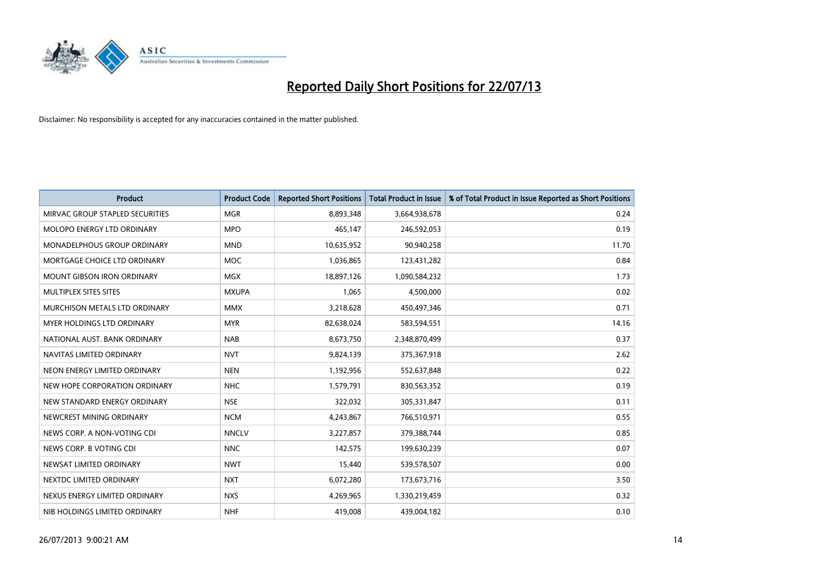

| <b>Product</b>                     | <b>Product Code</b> | <b>Reported Short Positions</b> | <b>Total Product in Issue</b> | % of Total Product in Issue Reported as Short Positions |
|------------------------------------|---------------------|---------------------------------|-------------------------------|---------------------------------------------------------|
| MIRVAC GROUP STAPLED SECURITIES    | <b>MGR</b>          | 8,893,348                       | 3,664,938,678                 | 0.24                                                    |
| MOLOPO ENERGY LTD ORDINARY         | <b>MPO</b>          | 465,147                         | 246,592,053                   | 0.19                                                    |
| <b>MONADELPHOUS GROUP ORDINARY</b> | <b>MND</b>          | 10,635,952                      | 90,940,258                    | 11.70                                                   |
| MORTGAGE CHOICE LTD ORDINARY       | <b>MOC</b>          | 1,036,865                       | 123,431,282                   | 0.84                                                    |
| <b>MOUNT GIBSON IRON ORDINARY</b>  | <b>MGX</b>          | 18,897,126                      | 1,090,584,232                 | 1.73                                                    |
| MULTIPLEX SITES SITES              | <b>MXUPA</b>        | 1,065                           | 4,500,000                     | 0.02                                                    |
| MURCHISON METALS LTD ORDINARY      | <b>MMX</b>          | 3,218,628                       | 450,497,346                   | 0.71                                                    |
| MYER HOLDINGS LTD ORDINARY         | <b>MYR</b>          | 82,638,024                      | 583,594,551                   | 14.16                                                   |
| NATIONAL AUST, BANK ORDINARY       | <b>NAB</b>          | 8,673,750                       | 2,348,870,499                 | 0.37                                                    |
| NAVITAS LIMITED ORDINARY           | <b>NVT</b>          | 9,824,139                       | 375,367,918                   | 2.62                                                    |
| NEON ENERGY LIMITED ORDINARY       | <b>NEN</b>          | 1,192,956                       | 552,637,848                   | 0.22                                                    |
| NEW HOPE CORPORATION ORDINARY      | <b>NHC</b>          | 1,579,791                       | 830,563,352                   | 0.19                                                    |
| NEW STANDARD ENERGY ORDINARY       | <b>NSE</b>          | 322,032                         | 305,331,847                   | 0.11                                                    |
| NEWCREST MINING ORDINARY           | <b>NCM</b>          | 4,243,867                       | 766,510,971                   | 0.55                                                    |
| NEWS CORP. A NON-VOTING CDI        | <b>NNCLV</b>        | 3,227,857                       | 379,388,744                   | 0.85                                                    |
| NEWS CORP. B VOTING CDI            | <b>NNC</b>          | 142,575                         | 199,630,239                   | 0.07                                                    |
| NEWSAT LIMITED ORDINARY            | <b>NWT</b>          | 15,440                          | 539,578,507                   | 0.00                                                    |
| NEXTDC LIMITED ORDINARY            | <b>NXT</b>          | 6,072,280                       | 173,673,716                   | 3.50                                                    |
| NEXUS ENERGY LIMITED ORDINARY      | <b>NXS</b>          | 4,269,965                       | 1,330,219,459                 | 0.32                                                    |
| NIB HOLDINGS LIMITED ORDINARY      | <b>NHF</b>          | 419,008                         | 439,004,182                   | 0.10                                                    |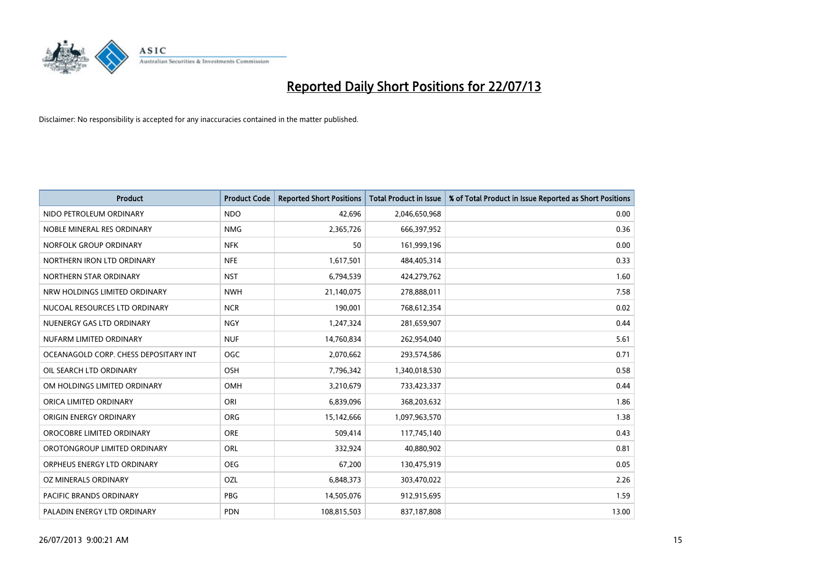

| <b>Product</b>                        | <b>Product Code</b> | <b>Reported Short Positions</b> | <b>Total Product in Issue</b> | % of Total Product in Issue Reported as Short Positions |
|---------------------------------------|---------------------|---------------------------------|-------------------------------|---------------------------------------------------------|
| NIDO PETROLEUM ORDINARY               | <b>NDO</b>          | 42,696                          | 2,046,650,968                 | 0.00                                                    |
| NOBLE MINERAL RES ORDINARY            | <b>NMG</b>          | 2,365,726                       | 666,397,952                   | 0.36                                                    |
| NORFOLK GROUP ORDINARY                | <b>NFK</b>          | 50                              | 161,999,196                   | 0.00                                                    |
| NORTHERN IRON LTD ORDINARY            | <b>NFE</b>          | 1,617,501                       | 484,405,314                   | 0.33                                                    |
| NORTHERN STAR ORDINARY                | <b>NST</b>          | 6,794,539                       | 424,279,762                   | 1.60                                                    |
| NRW HOLDINGS LIMITED ORDINARY         | <b>NWH</b>          | 21,140,075                      | 278,888,011                   | 7.58                                                    |
| NUCOAL RESOURCES LTD ORDINARY         | <b>NCR</b>          | 190,001                         | 768,612,354                   | 0.02                                                    |
| NUENERGY GAS LTD ORDINARY             | <b>NGY</b>          | 1,247,324                       | 281,659,907                   | 0.44                                                    |
| NUFARM LIMITED ORDINARY               | <b>NUF</b>          | 14,760,834                      | 262,954,040                   | 5.61                                                    |
| OCEANAGOLD CORP. CHESS DEPOSITARY INT | <b>OGC</b>          | 2,070,662                       | 293,574,586                   | 0.71                                                    |
| OIL SEARCH LTD ORDINARY               | OSH                 | 7,796,342                       | 1,340,018,530                 | 0.58                                                    |
| OM HOLDINGS LIMITED ORDINARY          | OMH                 | 3,210,679                       | 733,423,337                   | 0.44                                                    |
| ORICA LIMITED ORDINARY                | ORI                 | 6,839,096                       | 368,203,632                   | 1.86                                                    |
| ORIGIN ENERGY ORDINARY                | <b>ORG</b>          | 15,142,666                      | 1,097,963,570                 | 1.38                                                    |
| OROCOBRE LIMITED ORDINARY             | <b>ORE</b>          | 509,414                         | 117,745,140                   | 0.43                                                    |
| OROTONGROUP LIMITED ORDINARY          | ORL                 | 332,924                         | 40,880,902                    | 0.81                                                    |
| ORPHEUS ENERGY LTD ORDINARY           | <b>OEG</b>          | 67,200                          | 130,475,919                   | 0.05                                                    |
| OZ MINERALS ORDINARY                  | OZL                 | 6,848,373                       | 303,470,022                   | 2.26                                                    |
| <b>PACIFIC BRANDS ORDINARY</b>        | <b>PBG</b>          | 14,505,076                      | 912,915,695                   | 1.59                                                    |
| PALADIN ENERGY LTD ORDINARY           | <b>PDN</b>          | 108,815,503                     | 837,187,808                   | 13.00                                                   |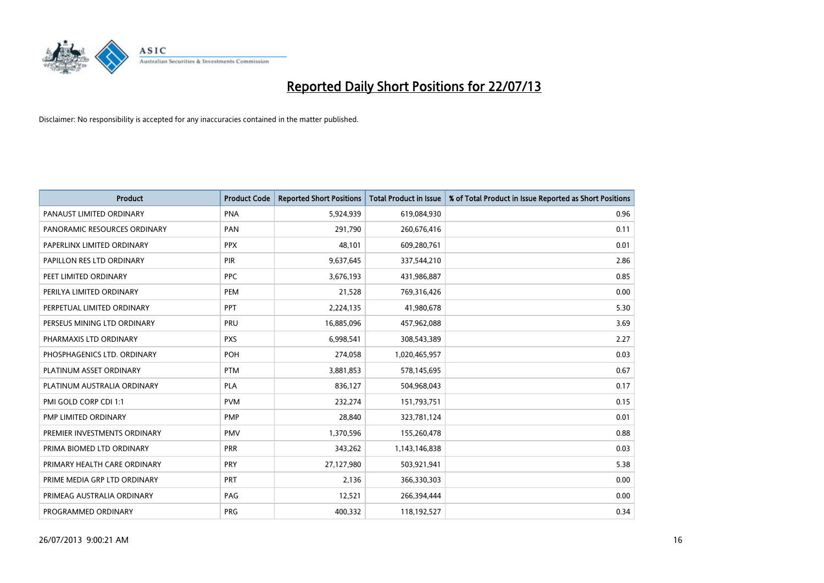

| <b>Product</b>               | <b>Product Code</b> | <b>Reported Short Positions</b> | <b>Total Product in Issue</b> | % of Total Product in Issue Reported as Short Positions |
|------------------------------|---------------------|---------------------------------|-------------------------------|---------------------------------------------------------|
| PANAUST LIMITED ORDINARY     | <b>PNA</b>          | 5,924,939                       | 619,084,930                   | 0.96                                                    |
| PANORAMIC RESOURCES ORDINARY | <b>PAN</b>          | 291,790                         | 260,676,416                   | 0.11                                                    |
| PAPERLINX LIMITED ORDINARY   | <b>PPX</b>          | 48,101                          | 609,280,761                   | 0.01                                                    |
| PAPILLON RES LTD ORDINARY    | <b>PIR</b>          | 9,637,645                       | 337,544,210                   | 2.86                                                    |
| PEET LIMITED ORDINARY        | <b>PPC</b>          | 3,676,193                       | 431,986,887                   | 0.85                                                    |
| PERILYA LIMITED ORDINARY     | PEM                 | 21,528                          | 769,316,426                   | 0.00                                                    |
| PERPETUAL LIMITED ORDINARY   | PPT                 | 2,224,135                       | 41,980,678                    | 5.30                                                    |
| PERSEUS MINING LTD ORDINARY  | PRU                 | 16,885,096                      | 457,962,088                   | 3.69                                                    |
| PHARMAXIS LTD ORDINARY       | <b>PXS</b>          | 6,998,541                       | 308,543,389                   | 2.27                                                    |
| PHOSPHAGENICS LTD. ORDINARY  | POH                 | 274,058                         | 1,020,465,957                 | 0.03                                                    |
| PLATINUM ASSET ORDINARY      | <b>PTM</b>          | 3,881,853                       | 578,145,695                   | 0.67                                                    |
| PLATINUM AUSTRALIA ORDINARY  | <b>PLA</b>          | 836,127                         | 504,968,043                   | 0.17                                                    |
| PMI GOLD CORP CDI 1:1        | <b>PVM</b>          | 232,274                         | 151,793,751                   | 0.15                                                    |
| PMP LIMITED ORDINARY         | <b>PMP</b>          | 28,840                          | 323,781,124                   | 0.01                                                    |
| PREMIER INVESTMENTS ORDINARY | <b>PMV</b>          | 1,370,596                       | 155,260,478                   | 0.88                                                    |
| PRIMA BIOMED LTD ORDINARY    | <b>PRR</b>          | 343,262                         | 1,143,146,838                 | 0.03                                                    |
| PRIMARY HEALTH CARE ORDINARY | <b>PRY</b>          | 27,127,980                      | 503,921,941                   | 5.38                                                    |
| PRIME MEDIA GRP LTD ORDINARY | PRT                 | 2,136                           | 366,330,303                   | 0.00                                                    |
| PRIMEAG AUSTRALIA ORDINARY   | PAG                 | 12,521                          | 266,394,444                   | 0.00                                                    |
| PROGRAMMED ORDINARY          | <b>PRG</b>          | 400,332                         | 118,192,527                   | 0.34                                                    |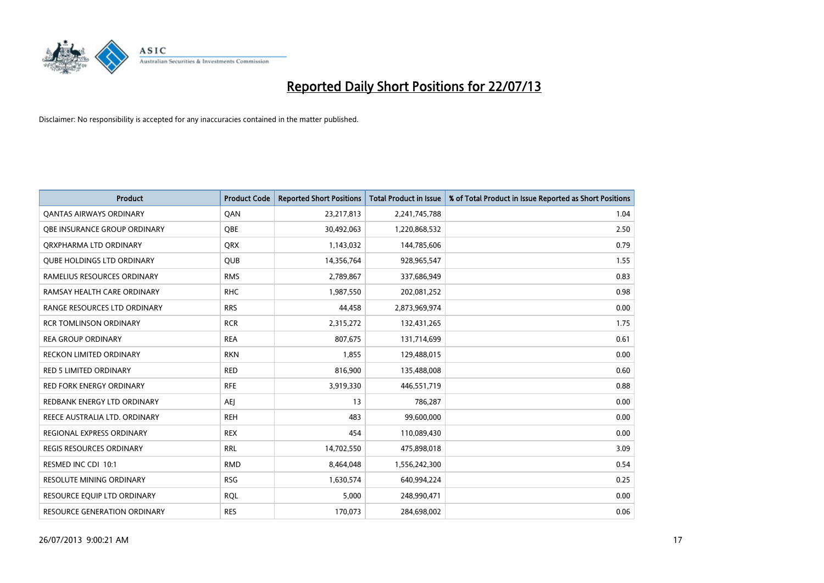

| <b>Product</b>                      | <b>Product Code</b> | <b>Reported Short Positions</b> | <b>Total Product in Issue</b> | % of Total Product in Issue Reported as Short Positions |
|-------------------------------------|---------------------|---------------------------------|-------------------------------|---------------------------------------------------------|
| <b>QANTAS AIRWAYS ORDINARY</b>      | QAN                 | 23,217,813                      | 2,241,745,788                 | 1.04                                                    |
| <b>OBE INSURANCE GROUP ORDINARY</b> | <b>OBE</b>          | 30,492,063                      | 1,220,868,532                 | 2.50                                                    |
| ORXPHARMA LTD ORDINARY              | <b>QRX</b>          | 1,143,032                       | 144,785,606                   | 0.79                                                    |
| <b>QUBE HOLDINGS LTD ORDINARY</b>   | <b>QUB</b>          | 14,356,764                      | 928,965,547                   | 1.55                                                    |
| RAMELIUS RESOURCES ORDINARY         | <b>RMS</b>          | 2,789,867                       | 337,686,949                   | 0.83                                                    |
| RAMSAY HEALTH CARE ORDINARY         | <b>RHC</b>          | 1,987,550                       | 202,081,252                   | 0.98                                                    |
| RANGE RESOURCES LTD ORDINARY        | <b>RRS</b>          | 44,458                          | 2,873,969,974                 | 0.00                                                    |
| <b>RCR TOMLINSON ORDINARY</b>       | <b>RCR</b>          | 2,315,272                       | 132,431,265                   | 1.75                                                    |
| <b>REA GROUP ORDINARY</b>           | <b>REA</b>          | 807,675                         | 131,714,699                   | 0.61                                                    |
| <b>RECKON LIMITED ORDINARY</b>      | <b>RKN</b>          | 1,855                           | 129,488,015                   | 0.00                                                    |
| <b>RED 5 LIMITED ORDINARY</b>       | <b>RED</b>          | 816,900                         | 135,488,008                   | 0.60                                                    |
| <b>RED FORK ENERGY ORDINARY</b>     | <b>RFE</b>          | 3,919,330                       | 446,551,719                   | 0.88                                                    |
| REDBANK ENERGY LTD ORDINARY         | AEJ                 | 13                              | 786,287                       | 0.00                                                    |
| REECE AUSTRALIA LTD. ORDINARY       | <b>REH</b>          | 483                             | 99,600,000                    | 0.00                                                    |
| REGIONAL EXPRESS ORDINARY           | <b>REX</b>          | 454                             | 110,089,430                   | 0.00                                                    |
| <b>REGIS RESOURCES ORDINARY</b>     | <b>RRL</b>          | 14,702,550                      | 475,898,018                   | 3.09                                                    |
| RESMED INC CDI 10:1                 | <b>RMD</b>          | 8,464,048                       | 1,556,242,300                 | 0.54                                                    |
| RESOLUTE MINING ORDINARY            | <b>RSG</b>          | 1,630,574                       | 640,994,224                   | 0.25                                                    |
| RESOURCE EQUIP LTD ORDINARY         | <b>ROL</b>          | 5,000                           | 248,990,471                   | 0.00                                                    |
| RESOURCE GENERATION ORDINARY        | <b>RES</b>          | 170,073                         | 284,698,002                   | 0.06                                                    |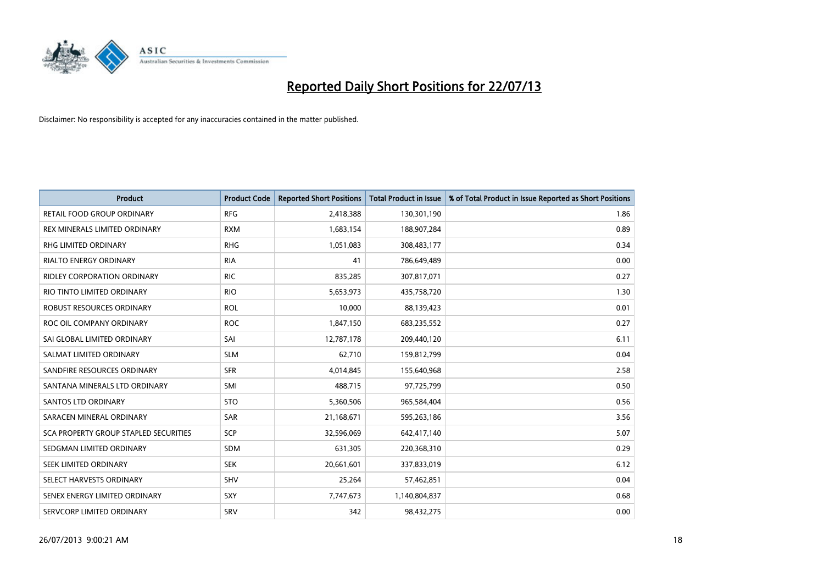

| <b>Product</b>                        | <b>Product Code</b> | <b>Reported Short Positions</b> | <b>Total Product in Issue</b> | % of Total Product in Issue Reported as Short Positions |
|---------------------------------------|---------------------|---------------------------------|-------------------------------|---------------------------------------------------------|
| <b>RETAIL FOOD GROUP ORDINARY</b>     | <b>RFG</b>          | 2,418,388                       | 130,301,190                   | 1.86                                                    |
| REX MINERALS LIMITED ORDINARY         | <b>RXM</b>          | 1,683,154                       | 188,907,284                   | 0.89                                                    |
| RHG LIMITED ORDINARY                  | <b>RHG</b>          | 1,051,083                       | 308,483,177                   | 0.34                                                    |
| <b>RIALTO ENERGY ORDINARY</b>         | <b>RIA</b>          | 41                              | 786,649,489                   | 0.00                                                    |
| RIDLEY CORPORATION ORDINARY           | <b>RIC</b>          | 835,285                         | 307,817,071                   | 0.27                                                    |
| RIO TINTO LIMITED ORDINARY            | <b>RIO</b>          | 5,653,973                       | 435,758,720                   | 1.30                                                    |
| ROBUST RESOURCES ORDINARY             | <b>ROL</b>          | 10,000                          | 88,139,423                    | 0.01                                                    |
| ROC OIL COMPANY ORDINARY              | <b>ROC</b>          | 1,847,150                       | 683,235,552                   | 0.27                                                    |
| SAI GLOBAL LIMITED ORDINARY           | SAI                 | 12,787,178                      | 209,440,120                   | 6.11                                                    |
| SALMAT LIMITED ORDINARY               | <b>SLM</b>          | 62,710                          | 159,812,799                   | 0.04                                                    |
| SANDFIRE RESOURCES ORDINARY           | <b>SFR</b>          | 4,014,845                       | 155,640,968                   | 2.58                                                    |
| SANTANA MINERALS LTD ORDINARY         | SMI                 | 488,715                         | 97,725,799                    | 0.50                                                    |
| <b>SANTOS LTD ORDINARY</b>            | <b>STO</b>          | 5,360,506                       | 965,584,404                   | 0.56                                                    |
| SARACEN MINERAL ORDINARY              | SAR                 | 21,168,671                      | 595,263,186                   | 3.56                                                    |
| SCA PROPERTY GROUP STAPLED SECURITIES | SCP                 | 32,596,069                      | 642,417,140                   | 5.07                                                    |
| SEDGMAN LIMITED ORDINARY              | SDM                 | 631,305                         | 220,368,310                   | 0.29                                                    |
| SEEK LIMITED ORDINARY                 | <b>SEK</b>          | 20,661,601                      | 337,833,019                   | 6.12                                                    |
| SELECT HARVESTS ORDINARY              | SHV                 | 25,264                          | 57,462,851                    | 0.04                                                    |
| SENEX ENERGY LIMITED ORDINARY         | <b>SXY</b>          | 7,747,673                       | 1,140,804,837                 | 0.68                                                    |
| SERVCORP LIMITED ORDINARY             | SRV                 | 342                             | 98,432,275                    | 0.00                                                    |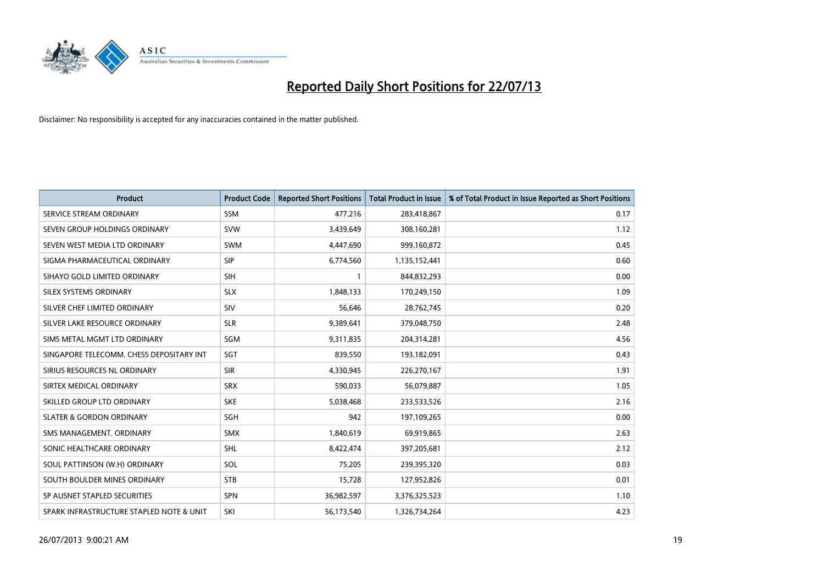

| <b>Product</b>                           | <b>Product Code</b> | <b>Reported Short Positions</b> | <b>Total Product in Issue</b> | % of Total Product in Issue Reported as Short Positions |
|------------------------------------------|---------------------|---------------------------------|-------------------------------|---------------------------------------------------------|
| SERVICE STREAM ORDINARY                  | <b>SSM</b>          | 477,216                         | 283,418,867                   | 0.17                                                    |
| SEVEN GROUP HOLDINGS ORDINARY            | <b>SVW</b>          | 3,439,649                       | 308,160,281                   | 1.12                                                    |
| SEVEN WEST MEDIA LTD ORDINARY            | <b>SWM</b>          | 4,447,690                       | 999,160,872                   | 0.45                                                    |
| SIGMA PHARMACEUTICAL ORDINARY            | <b>SIP</b>          | 6,774,560                       | 1,135,152,441                 | 0.60                                                    |
| SIHAYO GOLD LIMITED ORDINARY             | <b>SIH</b>          | 1                               | 844,832,293                   | 0.00                                                    |
| SILEX SYSTEMS ORDINARY                   | <b>SLX</b>          | 1,848,133                       | 170,249,150                   | 1.09                                                    |
| SILVER CHEF LIMITED ORDINARY             | SIV                 | 56.646                          | 28,762,745                    | 0.20                                                    |
| SILVER LAKE RESOURCE ORDINARY            | <b>SLR</b>          | 9,389,641                       | 379,048,750                   | 2.48                                                    |
| SIMS METAL MGMT LTD ORDINARY             | SGM                 | 9,311,835                       | 204,314,281                   | 4.56                                                    |
| SINGAPORE TELECOMM. CHESS DEPOSITARY INT | SGT                 | 839,550                         | 193,182,091                   | 0.43                                                    |
| SIRIUS RESOURCES NL ORDINARY             | <b>SIR</b>          | 4,330,945                       | 226,270,167                   | 1.91                                                    |
| SIRTEX MEDICAL ORDINARY                  | <b>SRX</b>          | 590,033                         | 56,079,887                    | 1.05                                                    |
| SKILLED GROUP LTD ORDINARY               | <b>SKE</b>          | 5,038,468                       | 233,533,526                   | 2.16                                                    |
| <b>SLATER &amp; GORDON ORDINARY</b>      | SGH                 | 942                             | 197,109,265                   | 0.00                                                    |
| SMS MANAGEMENT, ORDINARY                 | SMX                 | 1,840,619                       | 69,919,865                    | 2.63                                                    |
| SONIC HEALTHCARE ORDINARY                | <b>SHL</b>          | 8,422,474                       | 397,205,681                   | 2.12                                                    |
| SOUL PATTINSON (W.H) ORDINARY            | SOL                 | 75,205                          | 239,395,320                   | 0.03                                                    |
| SOUTH BOULDER MINES ORDINARY             | <b>STB</b>          | 15,728                          | 127,952,826                   | 0.01                                                    |
| SP AUSNET STAPLED SECURITIES             | <b>SPN</b>          | 36,982,597                      | 3,376,325,523                 | 1.10                                                    |
| SPARK INFRASTRUCTURE STAPLED NOTE & UNIT | SKI                 | 56,173,540                      | 1,326,734,264                 | 4.23                                                    |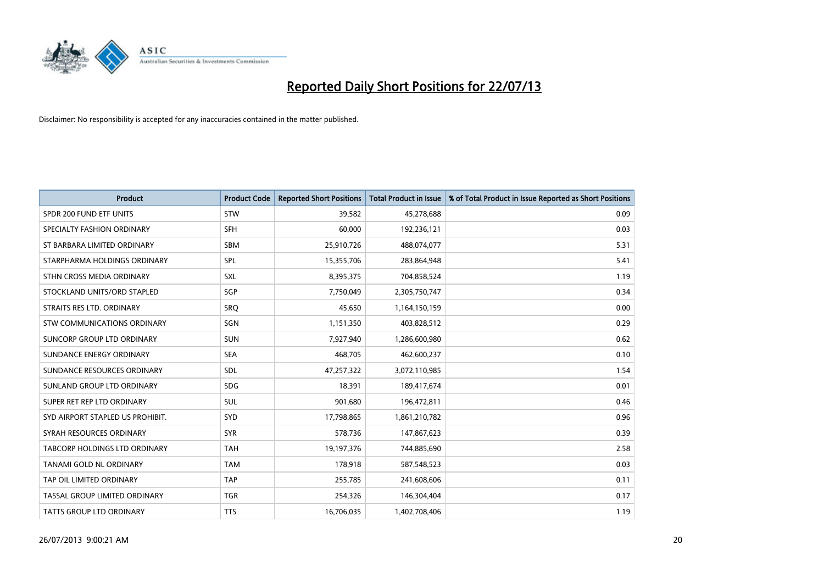

| <b>Product</b>                   | <b>Product Code</b> | <b>Reported Short Positions</b> | <b>Total Product in Issue</b> | % of Total Product in Issue Reported as Short Positions |
|----------------------------------|---------------------|---------------------------------|-------------------------------|---------------------------------------------------------|
| SPDR 200 FUND ETF UNITS          | <b>STW</b>          | 39,582                          | 45,278,688                    | 0.09                                                    |
| SPECIALTY FASHION ORDINARY       | <b>SFH</b>          | 60,000                          | 192,236,121                   | 0.03                                                    |
| ST BARBARA LIMITED ORDINARY      | <b>SBM</b>          | 25,910,726                      | 488,074,077                   | 5.31                                                    |
| STARPHARMA HOLDINGS ORDINARY     | <b>SPL</b>          | 15,355,706                      | 283,864,948                   | 5.41                                                    |
| STHN CROSS MEDIA ORDINARY        | SXL                 | 8,395,375                       | 704,858,524                   | 1.19                                                    |
| STOCKLAND UNITS/ORD STAPLED      | SGP                 | 7,750,049                       | 2,305,750,747                 | 0.34                                                    |
| STRAITS RES LTD. ORDINARY        | <b>SRO</b>          | 45,650                          | 1,164,150,159                 | 0.00                                                    |
| STW COMMUNICATIONS ORDINARY      | SGN                 | 1,151,350                       | 403,828,512                   | 0.29                                                    |
| SUNCORP GROUP LTD ORDINARY       | <b>SUN</b>          | 7,927,940                       | 1,286,600,980                 | 0.62                                                    |
| SUNDANCE ENERGY ORDINARY         | <b>SEA</b>          | 468,705                         | 462,600,237                   | 0.10                                                    |
| SUNDANCE RESOURCES ORDINARY      | SDL                 | 47,257,322                      | 3,072,110,985                 | 1.54                                                    |
| SUNLAND GROUP LTD ORDINARY       | <b>SDG</b>          | 18,391                          | 189,417,674                   | 0.01                                                    |
| SUPER RET REP LTD ORDINARY       | SUL                 | 901,680                         | 196,472,811                   | 0.46                                                    |
| SYD AIRPORT STAPLED US PROHIBIT. | <b>SYD</b>          | 17,798,865                      | 1,861,210,782                 | 0.96                                                    |
| SYRAH RESOURCES ORDINARY         | <b>SYR</b>          | 578,736                         | 147,867,623                   | 0.39                                                    |
| TABCORP HOLDINGS LTD ORDINARY    | <b>TAH</b>          | 19,197,376                      | 744,885,690                   | 2.58                                                    |
| TANAMI GOLD NL ORDINARY          | <b>TAM</b>          | 178,918                         | 587,548,523                   | 0.03                                                    |
| TAP OIL LIMITED ORDINARY         | <b>TAP</b>          | 255,785                         | 241,608,606                   | 0.11                                                    |
| TASSAL GROUP LIMITED ORDINARY    | <b>TGR</b>          | 254,326                         | 146,304,404                   | 0.17                                                    |
| TATTS GROUP LTD ORDINARY         | <b>TTS</b>          | 16,706,035                      | 1,402,708,406                 | 1.19                                                    |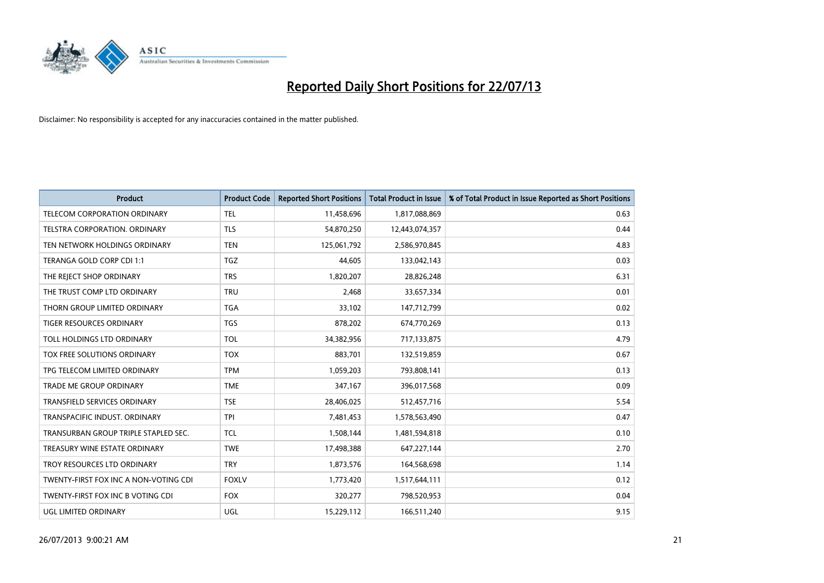

| <b>Product</b>                        | <b>Product Code</b> | <b>Reported Short Positions</b> | <b>Total Product in Issue</b> | % of Total Product in Issue Reported as Short Positions |
|---------------------------------------|---------------------|---------------------------------|-------------------------------|---------------------------------------------------------|
| TELECOM CORPORATION ORDINARY          | <b>TEL</b>          | 11,458,696                      | 1,817,088,869                 | 0.63                                                    |
| TELSTRA CORPORATION. ORDINARY         | <b>TLS</b>          | 54,870,250                      | 12,443,074,357                | 0.44                                                    |
| TEN NETWORK HOLDINGS ORDINARY         | <b>TEN</b>          | 125,061,792                     | 2,586,970,845                 | 4.83                                                    |
| TERANGA GOLD CORP CDI 1:1             | <b>TGZ</b>          | 44,605                          | 133,042,143                   | 0.03                                                    |
| THE REJECT SHOP ORDINARY              | <b>TRS</b>          | 1,820,207                       | 28,826,248                    | 6.31                                                    |
| THE TRUST COMP LTD ORDINARY           | <b>TRU</b>          | 2,468                           | 33,657,334                    | 0.01                                                    |
| THORN GROUP LIMITED ORDINARY          | <b>TGA</b>          | 33,102                          | 147,712,799                   | 0.02                                                    |
| TIGER RESOURCES ORDINARY              | TGS                 | 878,202                         | 674,770,269                   | 0.13                                                    |
| TOLL HOLDINGS LTD ORDINARY            | <b>TOL</b>          | 34,382,956                      | 717,133,875                   | 4.79                                                    |
| TOX FREE SOLUTIONS ORDINARY           | <b>TOX</b>          | 883,701                         | 132,519,859                   | 0.67                                                    |
| TPG TELECOM LIMITED ORDINARY          | <b>TPM</b>          | 1,059,203                       | 793,808,141                   | 0.13                                                    |
| TRADE ME GROUP ORDINARY               | <b>TME</b>          | 347,167                         | 396,017,568                   | 0.09                                                    |
| <b>TRANSFIELD SERVICES ORDINARY</b>   | <b>TSE</b>          | 28,406,025                      | 512,457,716                   | 5.54                                                    |
| TRANSPACIFIC INDUST, ORDINARY         | <b>TPI</b>          | 7,481,453                       | 1,578,563,490                 | 0.47                                                    |
| TRANSURBAN GROUP TRIPLE STAPLED SEC.  | <b>TCL</b>          | 1,508,144                       | 1,481,594,818                 | 0.10                                                    |
| TREASURY WINE ESTATE ORDINARY         | <b>TWE</b>          | 17,498,388                      | 647,227,144                   | 2.70                                                    |
| TROY RESOURCES LTD ORDINARY           | <b>TRY</b>          | 1,873,576                       | 164,568,698                   | 1.14                                                    |
| TWENTY-FIRST FOX INC A NON-VOTING CDI | <b>FOXLV</b>        | 1,773,420                       | 1,517,644,111                 | 0.12                                                    |
| TWENTY-FIRST FOX INC B VOTING CDI     | <b>FOX</b>          | 320,277                         | 798,520,953                   | 0.04                                                    |
| UGL LIMITED ORDINARY                  | UGL                 | 15,229,112                      | 166,511,240                   | 9.15                                                    |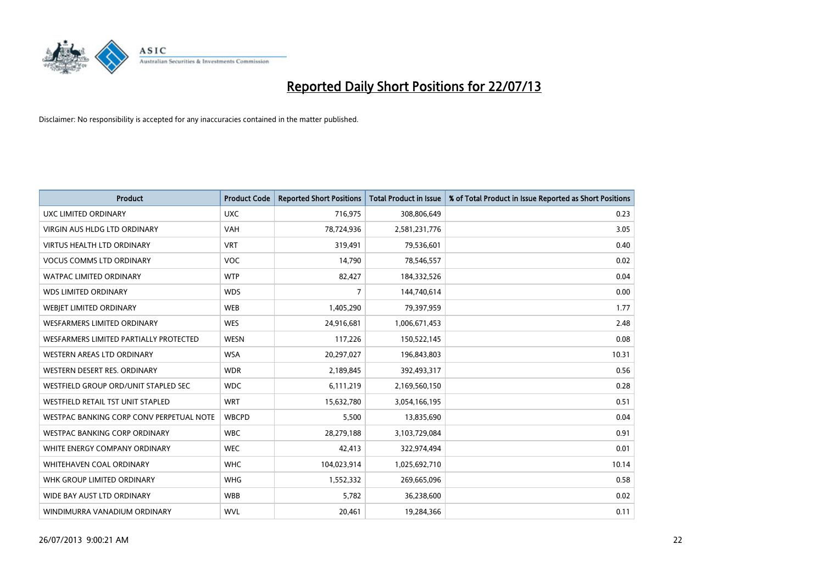

| <b>Product</b>                           | <b>Product Code</b> | <b>Reported Short Positions</b> | <b>Total Product in Issue</b> | % of Total Product in Issue Reported as Short Positions |
|------------------------------------------|---------------------|---------------------------------|-------------------------------|---------------------------------------------------------|
| <b>UXC LIMITED ORDINARY</b>              | <b>UXC</b>          | 716,975                         | 308,806,649                   | 0.23                                                    |
| VIRGIN AUS HLDG LTD ORDINARY             | <b>VAH</b>          | 78,724,936                      | 2,581,231,776                 | 3.05                                                    |
| <b>VIRTUS HEALTH LTD ORDINARY</b>        | <b>VRT</b>          | 319,491                         | 79,536,601                    | 0.40                                                    |
| <b>VOCUS COMMS LTD ORDINARY</b>          | <b>VOC</b>          | 14,790                          | 78,546,557                    | 0.02                                                    |
| <b>WATPAC LIMITED ORDINARY</b>           | <b>WTP</b>          | 82,427                          | 184,332,526                   | 0.04                                                    |
| <b>WDS LIMITED ORDINARY</b>              | <b>WDS</b>          | 7                               | 144,740,614                   | 0.00                                                    |
| <b>WEBIET LIMITED ORDINARY</b>           | <b>WEB</b>          | 1,405,290                       | 79,397,959                    | 1.77                                                    |
| <b>WESFARMERS LIMITED ORDINARY</b>       | <b>WES</b>          | 24,916,681                      | 1,006,671,453                 | 2.48                                                    |
| WESFARMERS LIMITED PARTIALLY PROTECTED   | <b>WESN</b>         | 117,226                         | 150,522,145                   | 0.08                                                    |
| WESTERN AREAS LTD ORDINARY               | <b>WSA</b>          | 20,297,027                      | 196,843,803                   | 10.31                                                   |
| WESTERN DESERT RES. ORDINARY             | <b>WDR</b>          | 2,189,845                       | 392,493,317                   | 0.56                                                    |
| WESTFIELD GROUP ORD/UNIT STAPLED SEC     | <b>WDC</b>          | 6,111,219                       | 2,169,560,150                 | 0.28                                                    |
| WESTFIELD RETAIL TST UNIT STAPLED        | <b>WRT</b>          | 15,632,780                      | 3,054,166,195                 | 0.51                                                    |
| WESTPAC BANKING CORP CONV PERPETUAL NOTE | <b>WBCPD</b>        | 5,500                           | 13,835,690                    | 0.04                                                    |
| WESTPAC BANKING CORP ORDINARY            | <b>WBC</b>          | 28,279,188                      | 3,103,729,084                 | 0.91                                                    |
| WHITE ENERGY COMPANY ORDINARY            | <b>WEC</b>          | 42,413                          | 322,974,494                   | 0.01                                                    |
| WHITEHAVEN COAL ORDINARY                 | <b>WHC</b>          | 104,023,914                     | 1,025,692,710                 | 10.14                                                   |
| WHK GROUP LIMITED ORDINARY               | <b>WHG</b>          | 1,552,332                       | 269,665,096                   | 0.58                                                    |
| WIDE BAY AUST LTD ORDINARY               | <b>WBB</b>          | 5,782                           | 36,238,600                    | 0.02                                                    |
| WINDIMURRA VANADIUM ORDINARY             | <b>WVL</b>          | 20,461                          | 19,284,366                    | 0.11                                                    |